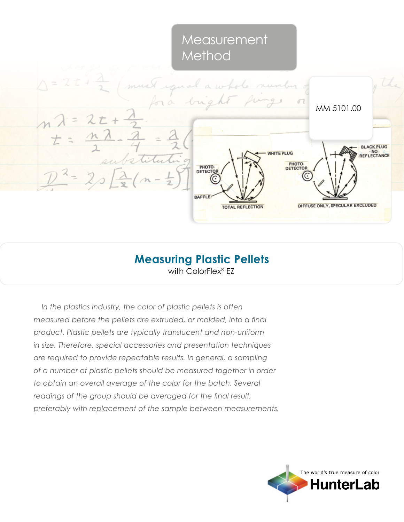# Measurement Method



## with ColorFlex<sup>®</sup> EZ **Measuring Plastic Pellets**

*In the plastics industry, the color of plastic pellets is often measured before the pellets are extruded, or molded, into a final product. Plastic pellets are typically translucent and non-uniform in size. Therefore, special accessories and presentation techniques are required to provide repeatable results. In general, a sampling of a number of plastic pellets should be measured together in order to obtain an overall average of the color for the batch. Several readings of the group should be averaged for the final result, preferably with replacement of the sample between measurements.*

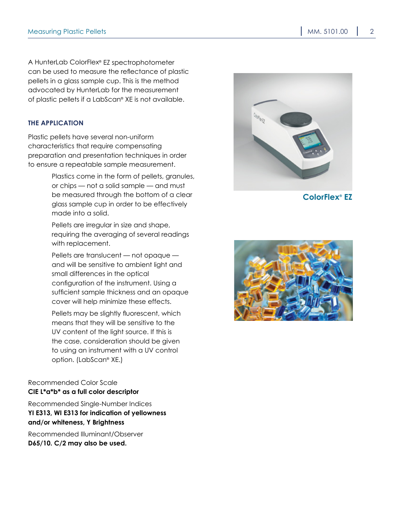A HunterLab ColorFlex® EZ spectrophotometer can be used to measure the reflectance of plastic pellets in a glass sample cup. This is the method advocated by HunterLab for the measurement of plastic pellets if a LabScan® XE is not available.

#### **The Application**

Plastic pellets have several non-uniform characteristics that require compensating preparation and presentation techniques in order to ensure a repeatable sample measurement.

> Plastics come in the form of pellets, granules, or chips — not a solid sample — and must be measured through the bottom of a clear glass sample cup in order to be effectively made into a solid.

Pellets are irregular in size and shape, requiring the averaging of several readings with replacement.

Pellets are translucent — not opaque and will be sensitive to ambient light and small differences in the optical configuration of the instrument. Using a sufficient sample thickness and an opaque cover will help minimize these effects.

Pellets may be slightly fluorescent, which means that they will be sensitive to the UV content of the light source. If this is the case, consideration should be given to using an instrument with a UV control option. (LabScan® XE.)

#### Recommended Color Scale **CIE L\*a\*b\* as a full color descriptor**

Recommended Single-Number Indices **YI E313, WI E313 for indication of yellowness and/or whiteness, Y Brightness**

Recommended Illuminant/Observer **D65/10. C/2 may also be used.**



**ColorFlex® EZ**

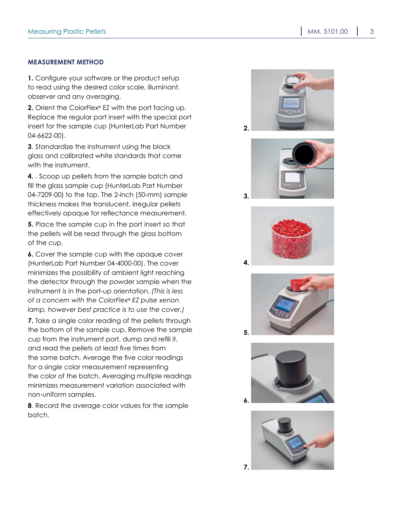#### **Measurement Method**

**1.** Configure your software or the product setup to read using the desired color scale, illuminant, observer and any averaging.

**2.** Orient the ColorFlex® EZ with the port facing up. Replace the regular port insert with the special port insert for the sample cup (HunterLab Part Number 04-6622-00).

**3**. Standardize the instrument using the black glass and calibrated white standards that come with the instrument.

**4.** . Scoop up pellets from the sample batch and fill the glass sample cup (HunterLab Part Number 04-7209-00) to the top. The 2-inch (50-mm) sample thickness makes the translucent, irregular pellets effectively opaque for reflectance measurement.

**5.** Place the sample cup in the port insert so that the pellets will be read through the glass bottom of the cup.

**6.** Cover the sample cup with the opaque cover (HunterLab Part Number 04-4000-00). The cover minimizes the possibility of ambient light reaching the detector through the powder sample when the instrument is in the port-up orientation. *(This is less of a concern with the ColorFlex® EZ pulse xenon lamp, however best practice is to use the cover.)*

**7.** Take a single color reading of the pellets through the bottom of the sample cup. Remove the sample cup from the instrument port, dump and refill it, and read the pellets at least five times from the same batch. Average the five color readings for a single color measurement representing the color of the batch. Averaging multiple readings minimizes measurement variation associated with non-uniform samples.

**8**. Record the average color values for the sample batch.



**2.**